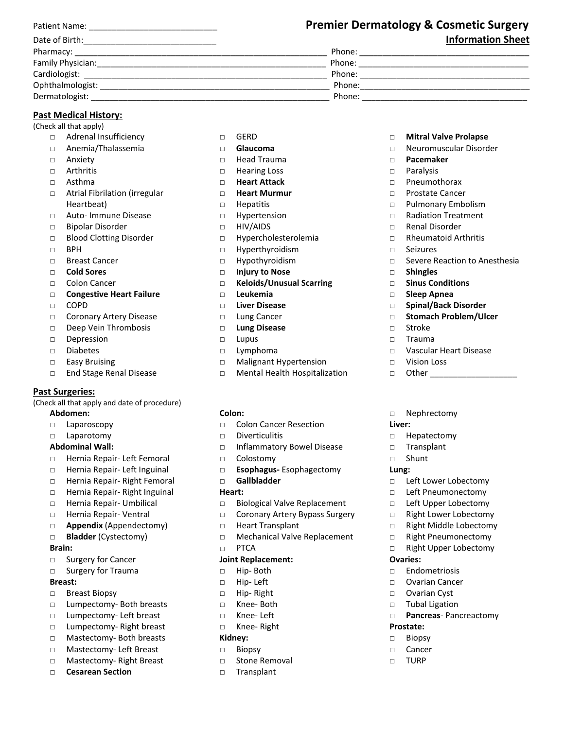|                   | <b>Premier Dermatology &amp; Cosmetic Surgery</b> |  |
|-------------------|---------------------------------------------------|--|
| Date of Birth:    | <b>Information Sheet</b>                          |  |
|                   | Phone:                                            |  |
| Family Physician: | Phone:                                            |  |
| Cardiologist:     | Phone:                                            |  |
| Ophthalmologist:  | Phone:                                            |  |
| Dermatologist:    | Phone:                                            |  |

### **Past Medical History:**

(Check all that apply)

- □ Adrenal Insufficiency
- □ Anemia/Thalassemia
- □ Anxiety
- □ Arthritis
- □ Asthma
- □ Atrial Fibrilation (irregular Heartbeat)
- □ Auto‐ Immune Disease
- □ Bipolar Disorder
- □ Blood Clotting Disorder
- □ BPH
- □ Breast Cancer
- □ **Cold Sores**
- □ Colon Cancer
- □ **Congestive Heart Failure**
- □ COPD
- □ Coronary Artery Disease
- □ Deep Vein Thrombosis
- □ Depression
- □ Diabetes
- □ Easy Bruising
- □ End Stage Renal Disease

#### **Past Surgeries:**

(Check all that apply and date of procedure) **Abdomen:** 

- □ Laparoscopy
- □ Laparotomy

# **Abdominal Wall:**

- □ Hernia Repair‐ Left Femoral
- □ Hernia Repair- Left Inguinal
- □ Hernia Repair- Right Femoral
- □ Hernia Repair‐ Right Inguinal
- □ Hernia Repair- Umbilical
- □ Hernia Repair‐ Ventral
- □ **Appendix** (Appendectomy)
- □ **Bladder** (Cystectomy)

#### **Brain:**

- □ Surgery for Cancer
- □ Surgery for Trauma

#### **Breast:**

- □ Breast Biopsy
- □ Lumpectomy‐ Both breasts
- □ Lumpectomy- Left breast
- □ Lumpectomy‐ Right breast
- □ Mastectomy‐ Both breasts
- □ Mastectomy‐ Left Breast
- □ Mastectomy‐ Right Breast
- □ **Cesarean Section**
- □ GERD
- □ **Glaucoma**
- □ Head Trauma
- □ Hearing Loss
- □ **Heart Attack**
- □ **Heart Murmur**
- □ Hepatitis
- □ Hypertension
- □ HIV/AIDS
- □ Hypercholesterolemia
- □ Hyperthyroidism
- □ Hypothyroidism
- □ **Injury to Nose**
- □ **Keloids/Unusual Scarring**
- □ **Leukemia**
- □ **Liver Disease**
- □ Lung Cancer
- □ **Lung Disease**
- □ Lupus
- □ Lymphoma
- □ Malignant Hypertension
- □ Mental Health Hospitalization

#### **Colon:**

- □ Colon Cancer Resection
- □ Diverticulitis
- □ Inflammatory Bowel Disease
- □ Colostomy
- □ **Esophagus‐** Esophagectomy
- □ **Gallbladder**

#### **Heart:**

- □ Biological Valve Replacement
- □ Coronary Artery Bypass Surgery
- □ Heart Transplant
- □ Mechanical Valve Replacement □ PTCA

#### **Joint Replacement:**

- □ Hip‐ Both
- □ Hip‐ Left
- □ Hip‐ Right
- □ Knee‐ Both
- □ Knee‐ Left
- □ Knee‐ Right

## **Kidney:**

- □ Biopsy
- □ Stone Removal
- □ Transplant
- □ **Mitral Valve Prolapse**
- □ Neuromuscular Disorder

□ Pulmonary Embolism □ Radiation Treatment □ Renal Disorder □ Rheumatoid Arthritis

□ Severe Reaction to Anesthesia

- □ **Pacemaker**
- □ Paralysis

□ Seizures

□ **Shingles** 

□ Stroke □ Trauma

□ Vision Loss □ Other \_\_\_\_\_\_\_\_\_\_\_\_\_\_\_\_\_\_\_

□ Nephrectomy

□ Hepatectomy □ Transplant □ Shunt **Lung:** 

□ Left Lower Lobectomy □ Left Pneumonectomy □ Left Upper Lobectomy □ Right Lower Lobectomy □ Right Middle Lobectomy □ Right Pneumonectomy □ Right Upper Lobectomy

**Liver:** 

**Ovaries:** 

**Prostate:**  □ Biopsy □ Cancer □ TURP

□ Endometriosis □ Ovarian Cancer □ Ovarian Cyst □ Tubal Ligation

□ **Pancreas**‐ Pancreactomy

□ **Sinus Conditions**  □ **Sleep Apnea** 

□ **Spinal/Back Disorder**  □ **Stomach Problem/Ulcer** 

□ Vascular Heart Disease

□ Pneumothorax □ Prostate Cancer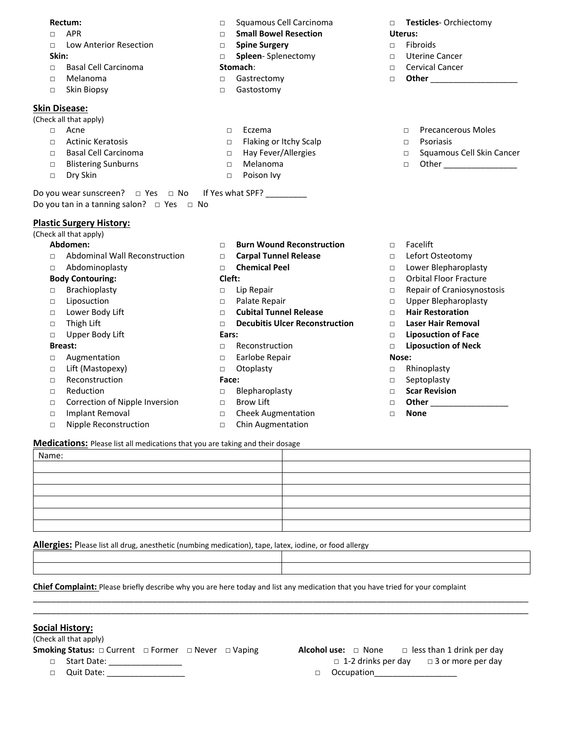#### **Rectum:**

- □ APR
- □ Low Anterior Resection

# **Skin:**

- □ Basal Cell Carcinoma
- □ Melanoma
- □ Skin Biopsy

#### **Skin Disease:**

(Check all that apply)

- □ Acne
- □ Actinic Keratosis
- □ Basal Cell Carcinoma
- □ Blistering Sunburns
- □ Dry Skin
- □ Squamous Cell Carcinoma
- □ **Small Bowel Resection**
- □ **Spine Surgery**
- □ **Spleen**‐ Splenectomy

#### **Stomach**:

- □ Gastrectomy
- □ Gastostomy

□ **Testicles**‐ Orchiectomy **Uterus:** 

□ Precancerous Moles

□ Squamous Cell Skin Cancer □ Other \_\_\_\_\_\_\_\_\_\_\_\_\_\_\_\_

- □ Fibroids
- □ Uterine Cancer
- □ Cervical Cancer

□ Psoriasis

□ **Other** \_\_\_\_\_\_\_\_\_\_\_\_\_\_\_\_\_\_\_

- 
- 
- 
- 
- 
- □ Eczema
- □ Flaking or Itchy Scalp
- □ Hay Fever/Allergies
- □ Melanoma
- □ Poison Ivy

Do you wear sunscreen?  $\Box$  Yes  $\Box$  No If Yes what SPF? Do you tan in a tanning salon?  $\Box$  Yes  $\Box$  No

### **Plastic Surgery History:**

(Check all that apply)

#### **Abdomen:**

- □ Abdominal Wall Reconstruction
- □ Abdominoplasty

### **Body Contouring:**

- □ Brachioplasty
- □ Liposuction
- □ Lower Body Lift
- □ Thigh Lift
- □ Upper Body Lift

#### **Breast:**

- □ Augmentation
- □ Lift (Mastopexy)
- □ Reconstruction
- □ Reduction
- □ Correction of Nipple Inversion
- □ Implant Removal
- □ Nipple Reconstruction

#### **Medications:** Please list all medications that you are taking and their dosage

Name:

\_\_\_\_\_\_\_\_\_\_\_\_\_\_\_\_\_\_\_\_\_\_\_\_\_\_\_\_\_\_\_\_\_\_\_\_\_\_\_\_\_\_\_\_\_\_\_\_\_\_\_\_\_\_\_\_\_\_\_\_\_\_\_\_\_\_\_\_\_\_\_\_\_\_\_\_\_\_\_\_\_\_\_\_\_\_\_\_\_\_\_\_\_\_\_\_\_\_\_\_\_\_\_\_\_\_\_\_ \_\_\_\_\_\_\_\_\_\_\_\_\_\_\_\_\_\_\_\_\_\_\_\_\_\_\_\_\_\_\_\_\_\_\_\_\_\_\_\_\_\_\_\_\_\_\_\_\_\_\_\_\_\_\_\_\_\_\_\_\_\_\_\_\_\_\_\_\_\_\_\_\_\_\_\_\_\_\_\_\_\_\_\_\_\_\_\_\_\_\_\_\_\_\_\_\_\_\_\_\_\_\_\_\_\_\_\_

**Allergies:** Please list all drug, anesthetic (numbing medication), tape, latex, iodine, or food allergy

**Chief Complaint:** Please briefly describe why you are here today and list any medication that you have tried for your complaint

### **Social History:**

(Check all that apply)

**Smoking Status:** □ Current □ Former □ Never □ Vaping □ Start Date: \_\_\_\_\_\_\_\_\_\_\_\_\_\_\_\_

**Alcohol use:**  $\Box$  None  $\Box$  less than 1 drink per day  $\Box$  1-2 drinks per day  $\Box$  3 or more per day

□ Quit Date: \_\_\_\_\_\_\_\_\_\_\_\_\_\_\_\_\_

□ Occupation\_\_\_\_\_\_\_\_\_\_\_\_\_\_\_\_\_\_

- □ Facelift
	- □ Lefort Osteotomy
	- □ Lower Blepharoplasty
- □ Orbital Floor Fracture
- □ Repair of Craniosynostosis
- □ Upper Blepharoplasty
- □ **Hair Restoration**
- □ **Laser Hair Removal**
- □ **Liposuction of Face**
- □ **Liposuction of Neck**

#### **Nose:**

- □ Rhinoplasty
- □ Septoplasty
- □ **Scar Revision**
- □ **Other** \_\_\_\_\_\_\_\_\_\_\_\_\_\_\_\_\_
- □ **None**

□ **Burn Wound Reconstruction**  □ **Carpal Tunnel Release** 

□ **Chemical Peel** 

### **Cleft:**

- □ Lip Repair
- □ Palate Repair
- □ **Cubital Tunnel Release**
- □ **Decubitis Ulcer Reconstruction**

#### **Ears:**

- □ Reconstruction
- □ Earlobe Repair
- □ Otoplasty

#### **Face:**

- □ Blepharoplasty
- □ Brow Lift
- □ Cheek Augmentation □ Chin Augmentation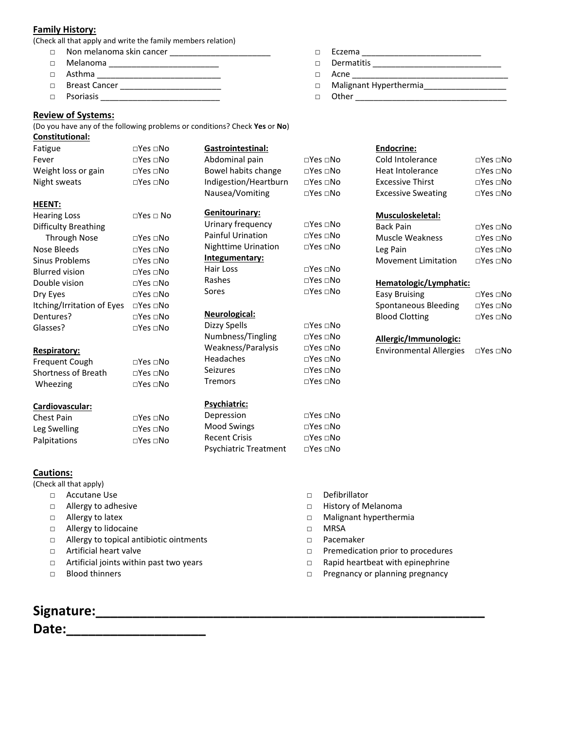### **Family History:**

(Check all that apply and write the family members relation)

- □ Non melanoma skin cancer \_\_\_\_\_\_\_\_\_\_\_\_\_\_\_\_\_\_\_\_\_\_
- □ Melanoma \_\_\_\_\_\_\_\_\_\_\_\_\_\_\_\_\_\_\_\_\_\_\_\_
- □ Asthma \_\_\_\_\_\_\_\_\_\_\_\_\_\_\_\_\_\_\_\_\_\_\_\_\_\_\_
- □ Breast Cancer \_\_\_\_\_\_\_\_\_\_\_\_\_\_\_\_\_\_\_\_\_\_
- □ Psoriasis \_\_\_\_\_\_\_\_\_\_\_\_\_\_\_\_\_\_\_\_\_\_\_\_\_\_

### **Review of Systems:**

(Do you have any of the following problems or conditions? Check **Yes** or **No**) **Constitutional:** 

| Fatigue                     | $\square$ Yes $\square$ No | Gastrointestinal:            |                            | Endocrine:                     |                            |
|-----------------------------|----------------------------|------------------------------|----------------------------|--------------------------------|----------------------------|
| Fever                       | $\square$ Yes $\square$ No | Abdominal pain               | $\square$ Yes $\square$ No | Cold Intolerance               | $\square$ Yes $\square$ No |
| Weight loss or gain         | $\square$ Yes $\square$ No | Bowel habits change          | $\square$ Yes $\square$ No | <b>Heat Intolerance</b>        | $\square$ Yes $\square$ No |
| Night sweats                | $\Box$ Yes $\Box$ No       | Indigestion/Heartburn        | $\square$ Yes $\square$ No | <b>Excessive Thirst</b>        | $\square$ Yes $\square$ No |
|                             |                            | Nausea/Vomiting              | $\square$ Yes $\square$ No | <b>Excessive Sweating</b>      | $\square$ Yes $\square$ No |
| <b>HEENT:</b>               |                            |                              |                            |                                |                            |
| <b>Hearing Loss</b>         | $\Box$ Yes $\Box$ No       | Genitourinary:               |                            | Musculoskeletal:               |                            |
| <b>Difficulty Breathing</b> |                            | Urinary frequency            | $\square$ Yes $\square$ No | <b>Back Pain</b>               | $\Box$ Yes $\Box$ No       |
| <b>Through Nose</b>         | $\square$ Yes $\square$ No | <b>Painful Urination</b>     | $\square$ Yes $\square$ No | <b>Muscle Weakness</b>         | $\square$ Yes $\square$ No |
| Nose Bleeds                 | $\square$ Yes $\square$ No | <b>Nighttime Urination</b>   | $\square$ Yes $\square$ No | Leg Pain                       | $\square$ Yes $\square$ No |
| Sinus Problems              | $\Box$ Yes $\Box$ No       | Integumentary:               |                            | <b>Movement Limitation</b>     | $\square$ Yes $\square$ No |
| <b>Blurred vision</b>       | □Yes □No                   | Hair Loss                    | $\square$ Yes $\square$ No |                                |                            |
| Double vision               | $\square$ Yes $\square$ No | Rashes                       | $\Box$ Yes $\Box$ No       | Hematologic/Lymphatic:         |                            |
| Dry Eyes                    | $\square$ Yes $\square$ No | Sores                        | $\square$ Yes $\square$ No | <b>Easy Bruising</b>           | $\square$ Yes $\square$ No |
| Itching/Irritation of Eyes  | $\square$ Yes $\square$ No |                              |                            | Spontaneous Bleeding           | $\square$ Yes $\square$ No |
| Dentures?                   | $\square$ Yes $\square$ No | Neurological:                |                            | <b>Blood Clotting</b>          | $\square$ Yes $\square$ No |
| Glasses?                    | $\square$ Yes $\square$ No | Dizzy Spells                 | $\square$ Yes $\square$ No |                                |                            |
|                             |                            | Numbness/Tingling            | $\square$ Yes $\square$ No | Allergic/Immunologic:          |                            |
| Respiratory:                |                            | Weakness/Paralysis           | $\square$ Yes $\square$ No | <b>Environmental Allergies</b> | $\square$ Yes $\square$ No |
| Frequent Cough              | $\square$ Yes $\square$ No | Headaches                    | $\square$ Yes $\square$ No |                                |                            |
| <b>Shortness of Breath</b>  | $\square$ Yes $\square$ No | <b>Seizures</b>              | $\square$ Yes $\square$ No |                                |                            |
| Wheezing                    | $\square$ Yes $\square$ No | <b>Tremors</b>               | $\square$ Yes $\square$ No |                                |                            |
| Cardiovascular:             |                            | Psychiatric:                 |                            |                                |                            |
| Chest Pain                  | $\Box$ Yes $\Box$ No       | Depression                   | $\square$ Yes $\square$ No |                                |                            |
| Leg Swelling                | $\square$ Yes $\square$ No | <b>Mood Swings</b>           | $\square$ Yes $\square$ No |                                |                            |
| Palpitations                | $\square$ Yes $\square$ No | <b>Recent Crisis</b>         | $\square$ Yes $\square$ No |                                |                            |
|                             |                            | <b>Psychiatric Treatment</b> | $\square$ Yes $\square$ No |                                |                            |
| <b>Cautions:</b>            |                            |                              |                            |                                |                            |

(Check all that apply)

- □ Accutane Use
	- □ Allergy to adhesive
	- □ Allergy to latex
	- □ Allergy to lidocaine
	- □ Allergy to topical antibiotic ointments
	- □ Artificial heart valve
	- □ Artificial joints within past two years
	- □ Blood thinners
- □ Defibrillator
- □ History of Melanoma
- □ Malignant hyperthermia
- □ MRSA
- □ Pacemaker
- □ Premedication prior to procedures

□ Eczema \_\_\_\_\_\_\_\_\_\_\_\_\_\_\_\_\_\_\_\_\_\_\_\_\_\_ □ Dermatitis \_\_\_\_\_\_\_\_\_\_\_\_\_\_\_\_\_\_\_\_\_\_\_\_\_\_\_\_

□ Other \_\_\_\_\_\_\_\_\_\_\_\_\_\_\_\_\_\_\_\_\_\_\_\_\_\_\_\_\_\_\_\_\_

□ Malignant Hyperthermia\_\_\_\_\_\_\_\_\_\_\_\_\_\_\_\_\_\_

 $\Box$  Acne

- □ Rapid heartbeat with epinephrine
- □ Pregnancy or planning pregnancy

**Signature:\_\_\_\_\_\_\_\_\_\_\_\_\_\_\_\_\_\_\_\_\_\_\_\_\_\_\_\_\_\_\_\_\_\_\_\_\_\_\_\_\_\_\_\_\_\_\_\_\_\_\_\_\_ Date:\_\_\_\_\_\_\_\_\_\_\_\_\_\_\_\_\_\_\_**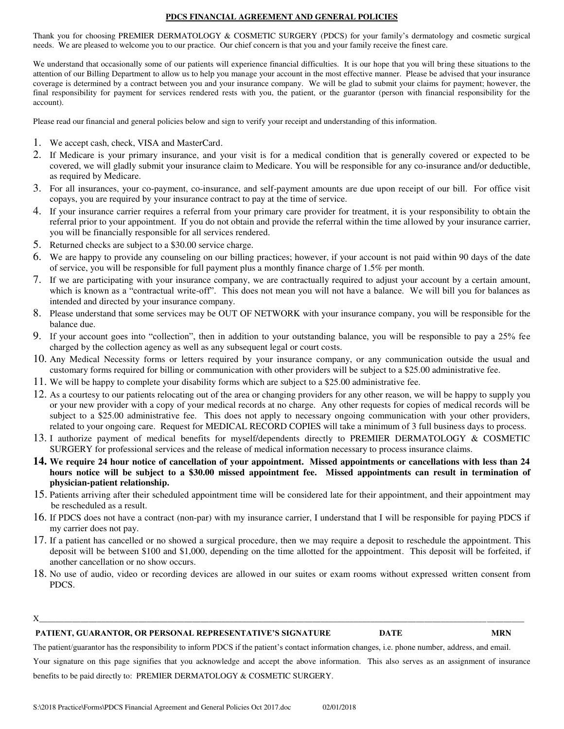#### **PDCS FINANCIAL AGREEMENT AND GENERAL POLICIES**

Thank you for choosing PREMIER DERMATOLOGY & COSMETIC SURGERY (PDCS) for your family's dermatology and cosmetic surgical needs. We are pleased to welcome you to our practice. Our chief concern is that you and your family receive the finest care.

We understand that occasionally some of our patients will experience financial difficulties. It is our hope that you will bring these situations to the attention of our Billing Department to allow us to help you manage your account in the most effective manner. Please be advised that your insurance coverage is determined by a contract between you and your insurance company. We will be glad to submit your claims for payment; however, the final responsibility for payment for services rendered rests with you, the patient, or the guarantor (person with financial responsibility for the account).

Please read our financial and general policies below and sign to verify your receipt and understanding of this information.

- 1. We accept cash, check, VISA and MasterCard.
- 2. If Medicare is your primary insurance, and your visit is for a medical condition that is generally covered or expected to be covered, we will gladly submit your insurance claim to Medicare. You will be responsible for any co-insurance and/or deductible, as required by Medicare.
- 3. For all insurances, your co-payment, co-insurance, and self-payment amounts are due upon receipt of our bill. For office visit copays, you are required by your insurance contract to pay at the time of service.
- 4. If your insurance carrier requires a referral from your primary care provider for treatment, it is your responsibility to obtain the referral prior to your appointment. If you do not obtain and provide the referral within the time allowed by your insurance carrier, you will be financially responsible for all services rendered.
- 5. Returned checks are subject to a \$30.00 service charge.
- 6. We are happy to provide any counseling on our billing practices; however, if your account is not paid within 90 days of the date of service, you will be responsible for full payment plus a monthly finance charge of 1.5% per month.
- 7. If we are participating with your insurance company, we are contractually required to adjust your account by a certain amount, which is known as a "contractual write-off". This does not mean you will not have a balance. We will bill you for balances as intended and directed by your insurance company.
- 8. Please understand that some services may be OUT OF NETWORK with your insurance company, you will be responsible for the balance due.
- 9. If your account goes into "collection", then in addition to your outstanding balance, you will be responsible to pay a 25% fee charged by the collection agency as well as any subsequent legal or court costs.
- 10. Any Medical Necessity forms or letters required by your insurance company, or any communication outside the usual and customary forms required for billing or communication with other providers will be subject to a \$25.00 administrative fee.
- 11. We will be happy to complete your disability forms which are subject to a \$25.00 administrative fee.
- 12. As a courtesy to our patients relocating out of the area or changing providers for any other reason, we will be happy to supply you or your new provider with a copy of your medical records at no charge. Any other requests for copies of medical records will be subject to a \$25.00 administrative fee. This does not apply to necessary ongoing communication with your other providers, related to your ongoing care. Request for MEDICAL RECORD COPIES will take a minimum of 3 full business days to process.
- 13. I authorize payment of medical benefits for myself/dependents directly to PREMIER DERMATOLOGY & COSMETIC SURGERY for professional services and the release of medical information necessary to process insurance claims.
- **14. We require 24 hour notice of cancellation of your appointment. Missed appointments or cancellations with less than 24 hours notice will be subject to a \$30.00 missed appointment fee. Missed appointments can result in termination of physician-patient relationship.**
- 15. Patients arriving after their scheduled appointment time will be considered late for their appointment, and their appointment may be rescheduled as a result.
- 16. If PDCS does not have a contract (non-par) with my insurance carrier, I understand that I will be responsible for paying PDCS if my carrier does not pay.
- 17. If a patient has cancelled or no showed a surgical procedure, then we may require a deposit to reschedule the appointment. This deposit will be between \$100 and \$1,000, depending on the time allotted for the appointment. This deposit will be forfeited, if another cancellation or no show occurs.
- 18. No use of audio, video or recording devices are allowed in our suites or exam rooms without expressed written consent from PDCS.
- ${\rm X}$  , and the set of the set of the set of the set of the set of the set of the set of the set of the set of the set of the set of the set of the set of the set of the set of the set of the set of the set of the set of

#### **PATIENT, GUARANTOR, OR PERSONAL REPRESENTATIVE'S SIGNATURE DATE MRN**

The patient/guarantor has the responsibility to inform PDCS if the patient's contact information changes, i.e. phone number, address, and email. Your signature on this page signifies that you acknowledge and accept the above information. This also serves as an assignment of insurance benefits to be paid directly to: PREMIER DERMATOLOGY & COSMETIC SURGERY.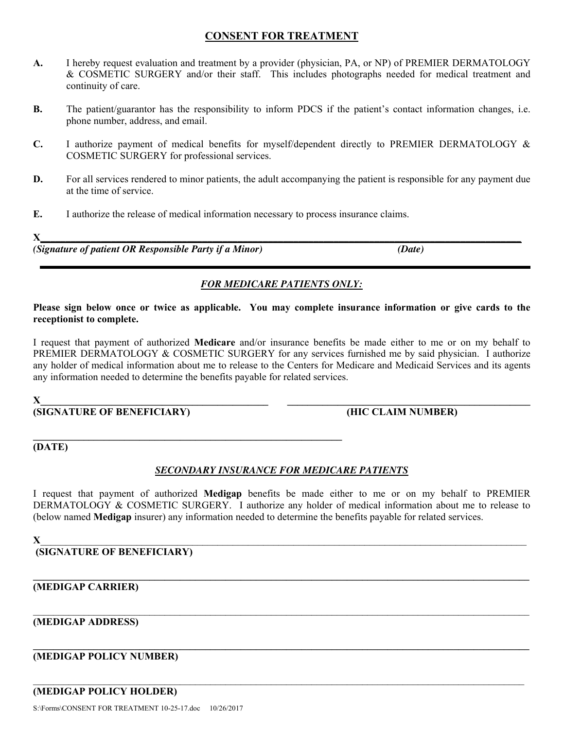# **CONSENT FOR TREATMENT**

- **A.** I hereby request evaluation and treatment by a provider (physician, PA, or NP) of PREMIER DERMATOLOGY & COSMETIC SURGERY and/or their staff. This includes photographs needed for medical treatment and continuity of care.
- **B.** The patient/guarantor has the responsibility to inform PDCS if the patient's contact information changes, i.e. phone number, address, and email.
- **C.** I authorize payment of medical benefits for myself/dependent directly to PREMIER DERMATOLOGY & COSMETIC SURGERY for professional services.
- **D.** For all services rendered to minor patients, the adult accompanying the patient is responsible for any payment due at the time of service.
- **E.** I authorize the release of medical information necessary to process insurance claims.

**X***\_\_\_\_\_\_\_\_\_\_\_\_\_\_\_\_\_\_\_\_\_\_\_\_\_\_\_\_\_\_\_\_\_\_\_\_\_\_\_\_\_\_\_\_\_\_\_\_\_\_\_\_\_\_\_\_\_\_\_\_\_\_\_\_\_\_\_\_\_\_\_\_\_\_\_\_\_\_\_\_\_\_\_\_\_\_\_\_\_\_\_\_\_\_\_ (Signature of patient OR Responsible Party if a Minor) (Date)*

# *FOR MEDICARE PATIENTS ONLY:*

**Please sign below once or twice as applicable. You may complete insurance information or give cards to the receptionist to complete.** 

I request that payment of authorized **Medicare** and/or insurance benefits be made either to me or on my behalf to PREMIER DERMATOLOGY & COSMETIC SURGERY for any services furnished me by said physician. I authorize any holder of medical information about me to release to the Centers for Medicare and Medicaid Services and its agents any information needed to determine the benefits payable for related services.

 $\mathbf{X}_\perp$  , and the set of the set of the set of the set of the set of the set of the set of the set of the set of the set of the set of the set of the set of the set of the set of the set of the set of the set of the s

**(SIGNATURE OF BENEFICIARY) (HIC CLAIM NUMBER)** 

**\_\_\_\_\_\_\_\_\_\_\_\_\_\_\_\_\_\_\_\_\_\_\_\_\_\_\_\_\_\_\_\_\_\_\_\_\_\_\_\_\_\_\_\_\_\_\_\_\_\_\_\_\_\_\_\_\_\_\_\_\_ (DATE)** 

# *SECONDARY INSURANCE FOR MEDICARE PATIENTS*

I request that payment of authorized **Medigap** benefits be made either to me or on my behalf to PREMIER DERMATOLOGY & COSMETIC SURGERY. I authorize any holder of medical information about me to release to (below named **Medigap** insurer) any information needed to determine the benefits payable for related services.

 $\_$ 

**\_\_\_\_\_\_\_\_\_\_\_\_\_\_\_\_\_\_\_\_\_\_\_\_\_\_\_\_\_\_\_\_\_\_\_\_\_\_\_\_\_\_\_\_\_\_\_\_\_\_\_\_\_\_\_\_\_\_\_\_\_\_\_\_\_\_\_\_\_\_\_\_\_\_\_\_\_\_\_\_\_\_\_\_\_\_\_\_\_\_\_\_\_\_\_\_\_\_** 

 $\mathcal{L}_\mathcal{L} = \mathcal{L}_\mathcal{L} = \mathcal{L}_\mathcal{L} = \mathcal{L}_\mathcal{L} = \mathcal{L}_\mathcal{L} = \mathcal{L}_\mathcal{L} = \mathcal{L}_\mathcal{L} = \mathcal{L}_\mathcal{L} = \mathcal{L}_\mathcal{L} = \mathcal{L}_\mathcal{L} = \mathcal{L}_\mathcal{L} = \mathcal{L}_\mathcal{L} = \mathcal{L}_\mathcal{L} = \mathcal{L}_\mathcal{L} = \mathcal{L}_\mathcal{L} = \mathcal{L}_\mathcal{L} = \mathcal{L}_\mathcal{L}$ 

 $X$  and the set of the set of the set of the set of the set of the set of the set of the set of the set of the set of the set of the set of the set of the set of the set of the set of the set of the set of the set of the

**(SIGNATURE OF BENEFICIARY)** 

**\_\_\_\_\_\_\_\_\_\_\_\_\_\_\_\_\_\_\_\_\_\_\_\_\_\_\_\_\_\_\_\_\_\_\_\_\_\_\_\_\_\_\_\_\_\_\_\_\_\_\_\_\_\_\_\_\_\_\_\_\_\_\_\_\_\_\_\_\_\_\_\_\_\_\_\_\_\_\_\_\_\_\_\_\_\_\_\_\_\_\_\_\_\_\_\_\_\_ (MEDIGAP CARRIER)** 

**(MEDIGAP ADDRESS)** 

# **(MEDIGAP POLICY NUMBER)**